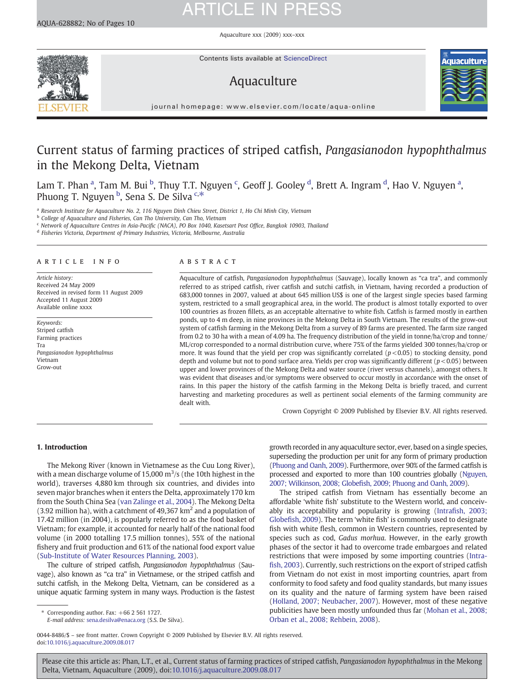AQUA-628882; No of Pages 10

### Aquaculture xxx (2009) xxx–xxx



Contents lists available at ScienceDirect

# Aquaculture



journal homepage: www.elsevier.com/locate/aqua-online

# Current status of farming practices of striped catfish, Pangasianodon hypophthalmus in the Mekong Delta, Vietnam

Lam T. Phan <sup>a</sup>, Tam M. Bui <sup>b</sup>, Thuy T.T. Nguyen <sup>c</sup>, Geoff J. Gooley <sup>d</sup>, Brett A. Ingram <sup>d</sup>, Hao V. Nguyen <sup>a</sup>, Phuong T. Nguyen <sup>b</sup>, Sena S. De Silva <sup>c,\*</sup>

a Research Institute for Aquaculture No. 2, 116 Nguyen Dinh Chieu Street, District 1, Ho Chi Minh City, Vietnam

**b** College of Aquaculture and Fisheries, Can Tho University, Can Tho, Vietnam

<sup>c</sup> Network of Aquaculture Centres in Asia-Pacific (NACA), PO Box 1040, Kasetsart Post Office, Bangkok 10903, Thailand

<sup>d</sup> Fisheries Victoria, Department of Primary Industries, Victoria, Melbourne, Australia

### article info abstract

Article history: Received 24 May 2009 Received in revised form 11 August 2009 Accepted 11 August 2009 Available online xxxx

Keywords: Striped catfish Farming practices Tra Pangasianodon hypophthalmus Vietnam Grow-out

Aquaculture of catfish, Pangasianodon hypophthalmus (Sauvage), locally known as "ca tra", and commonly referred to as striped catfish, river catfish and sutchi catfish, in Vietnam, having recorded a production of 683,000 tonnes in 2007, valued at about 645 million US\$ is one of the largest single species based farming system, restricted to a small geographical area, in the world. The product is almost totally exported to over 100 countries as frozen fillets, as an acceptable alternative to white fish. Catfish is farmed mostly in earthen ponds, up to 4 m deep, in nine provinces in the Mekong Delta in South Vietnam. The results of the grow-out system of catfish farming in the Mekong Delta from a survey of 89 farms are presented. The farm size ranged from 0.2 to 30 ha with a mean of 4.09 ha. The frequency distribution of the yield in tonne/ha/crop and tonne/ ML/crop corresponded to a normal distribution curve, where 75% of the farms yielded 300 tonnes/ha/crop or more. It was found that the yield per crop was significantly correlated  $(p< 0.05)$  to stocking density, pond depth and volume but not to pond surface area. Yields per crop was significantly different ( $p < 0.05$ ) between upper and lower provinces of the Mekong Delta and water source (river versus channels), amongst others. It was evident that diseases and/or symptoms were observed to occur mostly in accordance with the onset of rains. In this paper the history of the catfish farming in the Mekong Delta is briefly traced, and current harvesting and marketing procedures as well as pertinent social elements of the farming community are dealt with.

Crown Copyright © 2009 Published by Elsevier B.V. All rights reserved.

# 1. Introduction

The Mekong River (known in Vietnamese as the Cuu Long River), with a mean discharge volume of 15,000  $\mathrm{m}^3/\mathrm{s}$  (the 10th highest in the world), traverses 4,880 km through six countries, and divides into seven major branches when it enters the Delta, approximately 170 km from the South China Sea ([van Zalinge et al., 2004\)](#page-9-0). The Mekong Delta (3.92 million ha), with a catchment of 49,367  $km<sup>2</sup>$  and a population of 17.42 million (in 2004), is popularly referred to as the food basket of Vietnam; for example, it accounted for nearly half of the national food volume (in 2000 totalling 17.5 million tonnes), 55% of the national fishery and fruit production and 61% of the national food export value [\(Sub-Institute of Water Resources Planning, 2003](#page-9-0)).

The culture of striped catfish, Pangasianodon hypophthalmus (Sauvage), also known as "ca tra" in Vietnamese, or the striped catfish and sutchi catfish, in the Mekong Delta, Vietnam, can be considered as a unique aquatic farming system in many ways. Production is the fastest

E-mail address: [sena.desilva@enaca.org](mailto:sena.desilva@enaca.org) (S.S. De Silva).

growth recorded in any aquaculture sector, ever, based on a single species, superseding the production per unit for any form of primary production [\(Phuong and Oanh, 2009](#page-9-0)). Furthermore, over 90% of the farmed catfish is processed and exported to more than 100 countries globally [\(Nguyen,](#page-9-0) 2007; Wilkinson, 2008; Globefi[sh, 2009; Phuong and Oanh, 2009\)](#page-9-0).

The striped catfish from Vietnam has essentially become an affordable 'white fish' substitute to the Western world, and conceivably its acceptability and popularity is growing (Intrafi[sh, 2003;](#page-9-0) Globefi[sh, 2009\)](#page-9-0). The term 'white fish' is commonly used to designate fish with white flesh, common in Western countries, represented by species such as cod, Gadus morhua. However, in the early growth phases of the sector it had to overcome trade embargoes and related restrictions that were imposed by some importing countries ([Intra](#page-9-0)fi[sh, 2003](#page-9-0)). Currently, such restrictions on the export of striped catfish from Vietnam do not exist in most importing countries, apart from conformity to food safety and food quality standards, but many issues on its quality and the nature of farming system have been raised [\(Holland, 2007; Neubacher, 2007\)](#page-9-0). However, most of these negative publicities have been mostly unfounded thus far ([Mohan et al., 2008;](#page-9-0) [Orban et al., 2008; Rehbein, 2008](#page-9-0)).

0044-8486/\$ – see front matter. Crown Copyright © 2009 Published by Elsevier B.V. All rights reserved. doi:[10.1016/j.aquaculture.2009.08.017](http://dx.doi.org/10.1016/j.aquaculture.2009.08.017)

Corresponding author. Fax: +66 2 561 1727.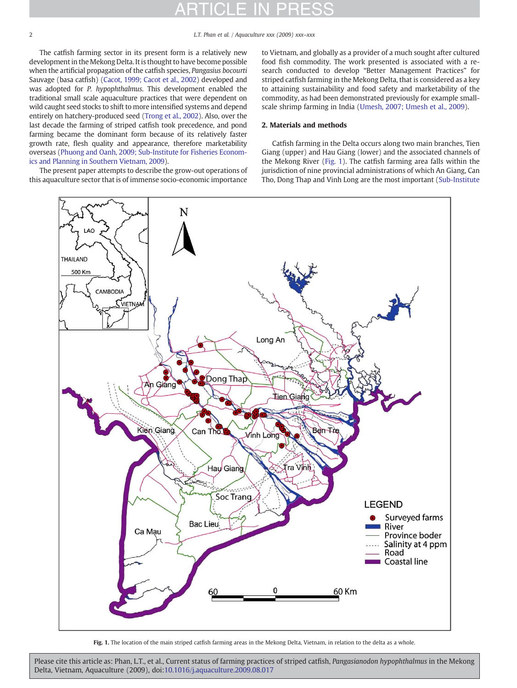2 L.T. Phan et al. / Aquaculture xxx (2009) xxx–xxx

The catfish farming sector in its present form is a relatively new development in the Mekong Delta. It is thought to have become possible when the artificial propagation of the catfish species, Pangasius bocourti Sauvage (basa catfish) [\(Cacot, 1999; Cacot et al., 2002](#page-9-0)) developed and was adopted for P. hypophthalmus. This development enabled the traditional small scale aquaculture practices that were dependent on wild caught seed stocks to shift to more intensified systems and depend entirely on hatchery-produced seed ([Trong et al., 2002\)](#page-9-0). Also, over the last decade the farming of striped catfish took precedence, and pond farming became the dominant form because of its relatively faster growth rate, flesh quality and appearance, therefore marketability overseas ([Phuong and Oanh, 2009; Sub-Institute for Fisheries Econom](#page-9-0)[ics and Planning in Southern Vietnam, 2009](#page-9-0)).

The present paper attempts to describe the grow-out operations of this aquaculture sector that is of immense socio-economic importance

to Vietnam, and globally as a provider of a much sought after cultured food fish commodity. The work presented is associated with a research conducted to develop "Better Management Practices" for striped catfish farming in the Mekong Delta, that is considered as a key to attaining sustainability and food safety and marketability of the commodity, as had been demonstrated previously for example smallscale shrimp farming in India ([Umesh, 2007; Umesh et al., 2009](#page-9-0)).

# 2. Materials and methods

Catfish farming in the Delta occurs along two main branches, Tien Giang (upper) and Hau Giang (lower) and the associated channels of the Mekong River (Fig. 1). The catfish farming area falls within the jurisdiction of nine provincial administrations of which An Giang, Can Tho, Dong Thap and Vinh Long are the most important ([Sub-Institute](#page-9-0)



Fig. 1. The location of the main striped catfish farming areas in the Mekong Delta, Vietnam, in relation to the delta as a whole.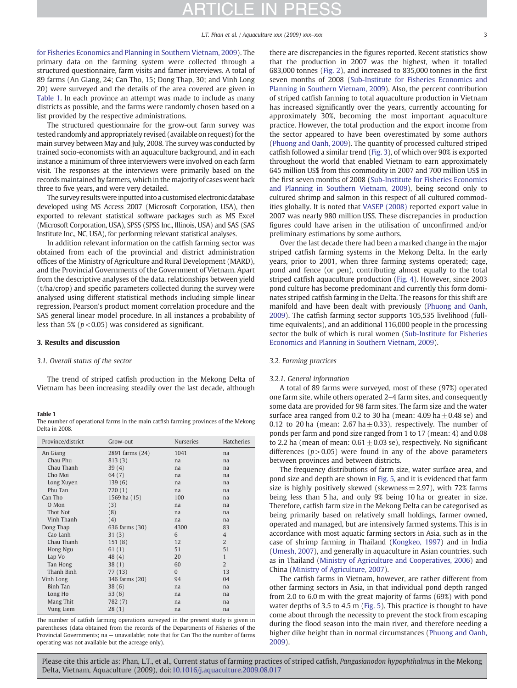<span id="page-2-0"></span>[for Fisheries Economics and Planning in Southern Vietnam, 2009](#page-9-0)). The primary data on the farming system were collected through a structured questionnaire, farm visits and famer interviews. A total of 89 farms (An Giang, 24; Can Tho, 15; Dong Thap, 30; and Vinh Long 20) were surveyed and the details of the area covered are given in Table 1. In each province an attempt was made to include as many districts as possible, and the farms were randomly chosen based on a list provided by the respective administrations.

The structured questionnaire for the grow-out farm survey was tested randomly and appropriately revised (available on request) for the main survey between May and July, 2008. The survey was conducted by trained socio-economists with an aquaculture background, and in each instance a minimum of three interviewers were involved on each farm visit. The responses at the interviews were primarily based on the records maintained by farmers, which in the majority of cases went back three to five years, and were very detailed.

The survey results were inputted into a customised electronic database developed using MS Access 2007 (Microsoft Corporation, USA), then exported to relevant statistical software packages such as MS Excel (Microsoft Corporation, USA), SPSS (SPSS Inc., Illinois, USA) and SAS (SAS Institute Inc., NC, USA), for performing relevant statistical analyses.

In addition relevant information on the catfish farming sector was obtained from each of the provincial and district administration offices of the Ministry of Agriculture and Rural Development (MARD), and the Provincial Governments of the Government of Vietnam. Apart from the descriptive analyses of the data, relationships between yield (t/ha/crop) and specific parameters collected during the survey were analysed using different statistical methods including simple linear regression, Pearson's product moment correlation procedure and the SAS general linear model procedure. In all instances a probability of less than 5% ( $p$  < 0.05) was considered as significant.

### 3. Results and discussion

# 3.1. Overall status of the sector

The trend of striped catfish production in the Mekong Delta of Vietnam has been increasing steadily over the last decade, although

Table 1 The number of operational farms in the main catfish farming provinces of the Mekong Delta in 2008.

| Province/district | Grow-out        | <b>Nurseries</b> | <b>Hatcheries</b> |
|-------------------|-----------------|------------------|-------------------|
| An Giang          | 2891 farms (24) | 1041             | na                |
| Chau Phu          | 813(3)          | na               | na                |
| Chau Thanh        | 39(4)           | na               | na                |
| Cho Moi           | 64(7)           | na               | na                |
| Long Xuyen        | 139(6)          | na               | na                |
| Phu Tan           | 720(1)          | na               | na                |
| Can Tho           | 1569 ha (15)    | 100              | na                |
| O Mon             | (3)             | na               | na                |
| Thot Not          | (8)             | na               | na                |
| Vinh Thanh        | (4)             | na               | na                |
| Dong Thap         | 636 farms (30)  | 4300             | 83                |
| Cao Lanh          | 31(3)           | 6                | $\overline{4}$    |
| Chau Thanh        | 151(8)          | 12               | $\overline{2}$    |
| Hong Ngu          | 61(1)           | 51               | 51                |
| Lap Vo            | 48(4)           | 20               | $\mathbf{1}$      |
| Tan Hong          | 38(1)           | 60               | $\overline{2}$    |
| Thanh Binh        | 77 (13)         | $\Omega$         | 13                |
| Vinh Long         | 346 farms (20)  | 94               | 04                |
| <b>Binh Tan</b>   | 38(6)           | na               | na                |
| Long Ho           | 53 $(6)$        | na               | na                |
| Mang Thit         | 782 (7)         | na               | na                |
| Vung Liem         | 28(1)           | na               | na                |

The number of catfish farming operations surveyed in the present study is given in parentheses (data obtained from the records of the Departments of Fisheries of the Provincial Governments; na — unavailable; note that for Can Tho the number of farms operating was not available but the acreage only).

there are discrepancies in the figures reported. Recent statistics show that the production in 2007 was the highest, when it totalled 683,000 tonnes ([Fig. 2](#page-3-0)), and increased to 835,000 tonnes in the first seven months of 2008 ([Sub-Institute for Fisheries Economics and](#page-9-0) [Planning in Southern Vietnam, 2009\)](#page-9-0). Also, the percent contribution of striped catfish farming to total aquaculture production in Vietnam has increased significantly over the years, currently accounting for approximately 30%, becoming the most important aquaculture practice. However, the total production and the export income from the sector appeared to have been overestimated by some authors [\(Phuong and Oanh, 2009\)](#page-9-0). The quantity of processed cultured striped catfish followed a similar trend ([Fig. 3\)](#page-3-0), of which over 90% is exported throughout the world that enabled Vietnam to earn approximately 645 million US\$ from this commodity in 2007 and 700 million US\$ in the first seven months of 2008 [\(Sub-Institute for Fisheries Economics](#page-9-0) [and Planning in Southern Vietnam, 2009\)](#page-9-0), being second only to cultured shrimp and salmon in this respect of all cultured commodities globally. It is noted that [VASEP \(2008\)](#page-9-0) reported export value in 2007 was nearly 980 million US\$. These discrepancies in production figures could have arisen in the utilisation of unconfirmed and/or preliminary estimations by some authors.

Over the last decade there had been a marked change in the major striped catfish farming systems in the Mekong Delta. In the early years, prior to 2001, when three farming systems operated; cage, pond and fence (or pen), contributing almost equally to the total striped catfish aquaculture production [\(Fig. 4\)](#page-3-0). However, since 2003 pond culture has become predominant and currently this form dominates striped catfish farming in the Delta. The reasons for this shift are manifold and have been dealt with previously [\(Phuong and Oanh,](#page-9-0) [2009\)](#page-9-0). The catfish farming sector supports 105,535 livelihood (fulltime equivalents), and an additional 116,000 people in the processing sector the bulk of which is rural women ([Sub-Institute for Fisheries](#page-9-0) [Economics and Planning in Southern Vietnam, 2009](#page-9-0)).

# 3.2. Farming practices

### 3.2.1. General information

A total of 89 farms were surveyed, most of these (97%) operated one farm site, while others operated 2–4 farm sites, and consequently some data are provided for 98 farm sites. The farm size and the water surface area ranged from 0.2 to 30 ha (mean:  $4.09$  ha  $\pm$  0.48 se) and 0.12 to 20 ha (mean: 2.67 ha $\pm$  0.33), respectively. The number of ponds per farm and pond size ranged from 1 to 17 (mean: 4) and 0.08 to 2.2 ha (mean of mean:  $0.61 \pm 0.03$  se), respectively. No significant differences ( $p > 0.05$ ) were found in any of the above parameters between provinces and between districts.

The frequency distributions of farm size, water surface area, and pond size and depth are shown in [Fig. 5](#page-4-0), and it is evidenced that farm size is highly positively skewed (skewness  $= 2.97$ ), with 72% farms being less than 5 ha, and only 9% being 10 ha or greater in size. Therefore, catfish farm size in the Mekong Delta can be categorised as being primarily based on relatively small holdings, farmer owned, operated and managed, but are intensively farmed systems. This is in accordance with most aquatic farming sectors in Asia, such as in the case of shrimp farming in Thailand [\(Kongkeo, 1997\)](#page-9-0) and in India [\(Umesh, 2007\)](#page-9-0), and generally in aquaculture in Asian countries, such as in Thailand ([Ministry of Agriculture and Cooperatives, 2006\)](#page-9-0) and China [\(Ministry of Agriculture, 2007\)](#page-9-0).

The catfish farms in Vietnam, however, are rather different from other farming sectors in Asia, in that individual pond depth ranged from 2.0 to 6.0 m with the great majority of farms (69%) with pond water depths of 3.5 to 4.5 m ([Fig. 5\)](#page-4-0). This practice is thought to have come about through the necessity to prevent the stock from escaping during the flood season into the main river, and therefore needing a higher dike height than in normal circumstances ([Phuong and Oanh,](#page-9-0) [2009\)](#page-9-0).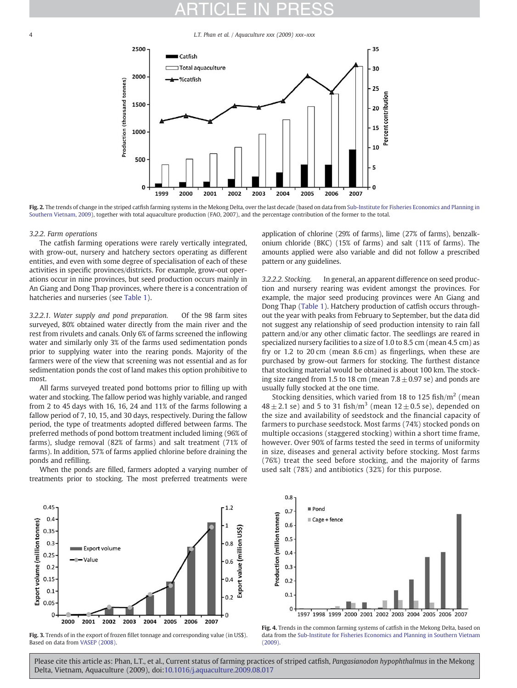<span id="page-3-0"></span>4 L.T. Phan et al. / Aquaculture xxx (2009) xxx–xxx



Fig. 2. The trends of change in the striped catfish farming systems in the Mekong Delta, over the last decade (based on data from [Sub-Institute for Fisheries Economics and Planning in](#page-9-0) [Southern Vietnam, 2009\)](#page-9-0), together with total aquaculture production (FAO, 2007), and the percentage contribution of the former to the total.

### 3.2.2. Farm operations

The catfish farming operations were rarely vertically integrated, with grow-out, nursery and hatchery sectors operating as different entities, and even with some degree of specialisation of each of these activities in specific provinces/districts. For example, grow-out operations occur in nine provinces, but seed production occurs mainly in An Giang and Dong Thap provinces, where there is a concentration of hatcheries and nurseries (see [Table 1\)](#page-2-0).

3.2.2.1. Water supply and pond preparation. Of the 98 farm sites surveyed, 80% obtained water directly from the main river and the rest from rivulets and canals. Only 6% of farms screened the inflowing water and similarly only 3% of the farms used sedimentation ponds prior to supplying water into the rearing ponds. Majority of the farmers were of the view that screening was not essential and as for sedimentation ponds the cost of land makes this option prohibitive to most.

All farms surveyed treated pond bottoms prior to filling up with water and stocking. The fallow period was highly variable, and ranged from 2 to 45 days with 16, 16, 24 and 11% of the farms following a fallow period of 7, 10, 15, and 30 days, respectively. During the fallow period, the type of treatments adopted differed between farms. The preferred methods of pond bottom treatment included liming (96% of farms), sludge removal (82% of farms) and salt treatment (71% of farms). In addition, 57% of farms applied chlorine before draining the ponds and refilling.

When the ponds are filled, farmers adopted a varying number of treatments prior to stocking. The most preferred treatments were application of chlorine (29% of farms), lime (27% of farms), benzalkonium chloride (BKC) (15% of farms) and salt (11% of farms). The amounts applied were also variable and did not follow a prescribed pattern or any guidelines.

3.2.2.2. Stocking. In general, an apparent difference on seed production and nursery rearing was evident amongst the provinces. For example, the major seed producing provinces were An Giang and Dong Thap [\(Table 1\)](#page-2-0). Hatchery production of catfish occurs throughout the year with peaks from February to September, but the data did not suggest any relationship of seed production intensity to rain fall pattern and/or any other climatic factor. The seedlings are reared in specialized nursery facilities to a size of 1.0 to 8.5 cm (mean 4.5 cm) as fry or 1.2 to 20 cm (mean 8.6 cm) as fingerlings, when these are purchased by grow-out farmers for stocking. The furthest distance that stocking material would be obtained is about 100 km. The stocking size ranged from 1.5 to 18 cm (mean  $7.8 \pm 0.97$  se) and ponds are usually fully stocked at the one time.

Stocking densities, which varied from 18 to 125 fish/ $m<sup>2</sup>$  (mean  $48 \pm 2.1$  se) and 5 to 31 fish/m<sup>3</sup> (mean  $12 \pm 0.5$  se), depended on the size and availability of seedstock and the financial capacity of farmers to purchase seedstock. Most farms (74%) stocked ponds on multiple occasions (staggered stocking) within a short time frame, however. Over 90% of farms tested the seed in terms of uniformity in size, diseases and general activity before stocking. Most farms (76%) treat the seed before stocking, and the majority of farms used salt (78%) and antibiotics (32%) for this purpose.



Fig. 3. Trends of in the export of frozen fillet tonnage and corresponding value (in US\$). Based on data from [VASEP \(2008\).](#page-9-0)



Fig. 4. Trends in the common farming systems of catfish in the Mekong Delta, based on data from the [Sub-Institute for Fisheries Economics and Planning in Southern Vietnam](#page-9-0) [\(2009\).](#page-9-0)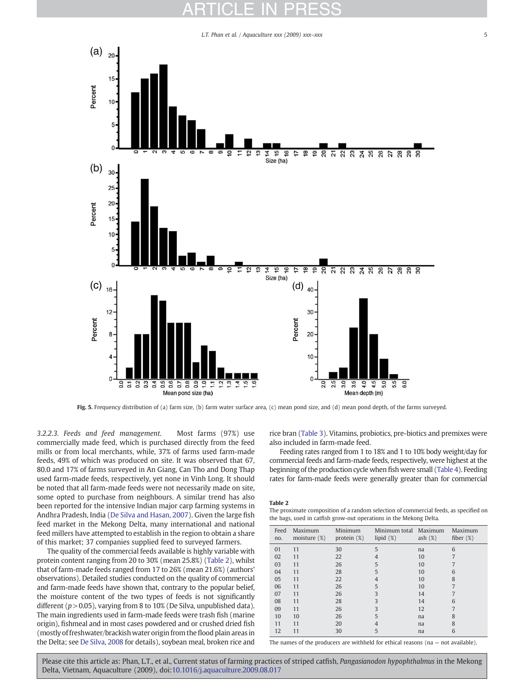L.T. Phan et al. / Aquaculture xxx (2009) xxx–xxx  $5$ 

<span id="page-4-0"></span>

Fig. 5. Frequency distribution of (a) farm size, (b) farm water surface area, (c) mean pond size, and (d) mean pond depth, of the farms surveyed.

3.2.2.3. Feeds and feed management. Most farms (97%) use commercially made feed, which is purchased directly from the feed mills or from local merchants, while, 37% of farms used farm-made feeds, 49% of which was produced on site. It was observed that 67, 80.0 and 17% of farms surveyed in An Giang, Can Tho and Dong Thap used farm-made feeds, respectively, yet none in Vinh Long. It should be noted that all farm-made feeds were not necessarily made on site, some opted to purchase from neighbours. A similar trend has also been reported for the intensive Indian major carp farming systems in Andhra Pradesh, India [\(De Silva and Hasan, 2007](#page-9-0)). Given the large fish feed market in the Mekong Delta, many international and national feed millers have attempted to establish in the region to obtain a share of this market; 37 companies supplied feed to surveyed farmers.

The quality of the commercial feeds available is highly variable with protein content ranging from 20 to 30% (mean 25.8%) (Table 2), whilst that of farm-made feeds ranged from 17 to 26% (mean 21.6%) (authors' observations). Detailed studies conducted on the quality of commercial and farm-made feeds have shown that, contrary to the popular belief, the moisture content of the two types of feeds is not significantly different ( $p > 0.05$ ), varying from 8 to 10% (De Silva, unpublished data). The main ingredients used in farm-made feeds were trash fish (marine origin), fishmeal and in most cases powdered and or crushed dried fish (mostly of freshwater/brackish water origin from the flood plain areas in the Delta; see [De Silva, 2008](#page-9-0) for details), soybean meal, broken rice and rice bran [\(Table 3](#page-5-0)). Vitamins, probiotics, pre-biotics and premixes were also included in farm-made feed.

Feeding rates ranged from 1 to 18% and 1 to 10% body weight/day for commercial feeds and farm-made feeds, respectively, were highest at the beginning of the production cycle when fish were small ([Table 4\)](#page-5-0). Feeding rates for farm-made feeds were generally greater than for commercial

Table 2

The proximate composition of a random selection of commercial feeds, as specified on the bags, used in catfish grow-out operations in the Mekong Delta.

| Feed<br>no. | Maximum<br>moisture $(\%)$ | Minimum<br>protein $(\%)$ | Minimum total<br>lipid $(\%)$ | Maximum<br>ash $(\%)$ | Maximum<br>fiber $(\%)$ |
|-------------|----------------------------|---------------------------|-------------------------------|-----------------------|-------------------------|
| 01          | 11                         | 30                        | 5                             | na                    | 6                       |
| 02          | 11                         | 22                        | 4                             | 10                    | 7                       |
| 03          | 11                         | 26                        | 5                             | 10                    |                         |
| 04          | 11                         | 28                        | 5                             | 10                    | 6                       |
| 05          | 11                         | 22                        | $\overline{4}$                | 10                    | 8                       |
| 06          | 11                         | 26                        | 5                             | 10                    | 7                       |
| 07          | 11                         | 26                        | 3                             | 14                    |                         |
| 08          | 11                         | 28                        | 3                             | 14                    | 6                       |
| 09          | 11                         | 26                        | 3                             | 12                    | 7                       |
| 10          | 10                         | 26                        | 5                             | na                    | 8                       |
| 11          | 11                         | 20                        | $\overline{4}$                | na                    | 8                       |
| 12          | 11                         | 30                        | 5                             | na                    | 6                       |

The names of the producers are withheld for ethical reasons ( $na - not available$ ).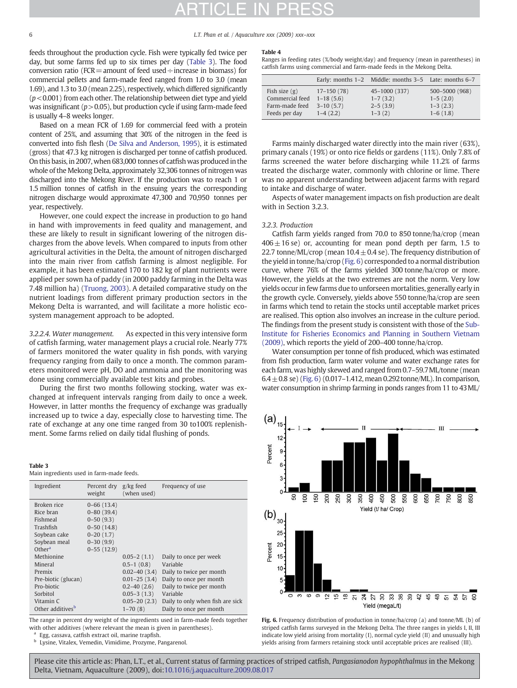<span id="page-5-0"></span>6 L.T. Phan et al. / Aquaculture xxx (2009) xxx–xxx

feeds throughout the production cycle. Fish were typically fed twice per day, but some farms fed up to six times per day (Table 3). The food conversion ratio ( $FCR$  = amount of feed used  $\div$  increase in biomass) for commercial pellets and farm-made feed ranged from 1.0 to 3.0 (mean 1.69), and 1.3 to 3.0 (mean 2.25), respectively, which differed significantly  $(p<0.001)$  from each other. The relationship between diet type and yield was insignificant ( $p > 0.05$ ), but production cycle if using farm-made feed is usually 4–8 weeks longer.

Based on a mean FCR of 1.69 for commercial feed with a protein content of 25%, and assuming that 30% of the nitrogen in the feed is converted into fish flesh [\(De Silva and Anderson, 1995](#page-9-0)), it is estimated (gross) that 47.3 kg nitrogen is discharged per tonne of catfish produced. On this basis, in 2007, when 683,000 tonnes of catfish was produced in the whole of the Mekong Delta, approximately 32,306 tonnes of nitrogen was discharged into the Mekong River. If the production was to reach 1 or 1.5 million tonnes of catfish in the ensuing years the corresponding nitrogen discharge would approximate 47,300 and 70,950 tonnes per year, respectively.

However, one could expect the increase in production to go hand in hand with improvements in feed quality and management, and these are likely to result in significant lowering of the nitrogen discharges from the above levels. When compared to inputs from other agricultural activities in the Delta, the amount of nitrogen discharged into the main river from catfish farming is almost negligible. For example, it has been estimated 170 to 182 kg of plant nutrients were applied per sown ha of paddy (in 2000 paddy farming in the Delta was 7.48 million ha) [\(Truong, 2003](#page-9-0)). A detailed comparative study on the nutrient loadings from different primary production sectors in the Mekong Delta is warranted, and will facilitate a more holistic ecosystem management approach to be adopted.

3.2.2.4. Water management. As expected in this very intensive form of catfish farming, water management plays a crucial role. Nearly 77% of farmers monitored the water quality in fish ponds, with varying frequency ranging from daily to once a month. The common parameters monitored were pH, DO and ammonia and the monitoring was done using commercially available test kits and probes.

During the first two months following stocking, water was exchanged at infrequent intervals ranging from daily to once a week. However, in latter months the frequency of exchange was gradually increased up to twice a day, especially close to harvesting time. The rate of exchange at any one time ranged from 30 to100% replenishment. Some farms relied on daily tidal flushing of ponds.

#### Table 3 Main ingredients used in farm-made feeds.

| Ingredient                                                                                                                                                                                               | Percent dry<br>weight                                                                                                 | $g/kg$ feed<br>(when used)                                                                                                          | Frequency of use                                                                                                                                                      |
|----------------------------------------------------------------------------------------------------------------------------------------------------------------------------------------------------------|-----------------------------------------------------------------------------------------------------------------------|-------------------------------------------------------------------------------------------------------------------------------------|-----------------------------------------------------------------------------------------------------------------------------------------------------------------------|
| Broken rice<br>Rice bran<br>Fishmeal<br>Trashfish<br>Soybean cake<br>Soybean meal<br>Other <sup>a</sup><br>Methionine<br>Mineral<br>Premix<br>Pre-biotic (glucan)<br>Pro-biotic<br>Sorbitol<br>Vitamin C | $0 - 66$ (13.4)<br>$0 - 80$ (39.4)<br>$0 - 50(9.3)$<br>$0-50(14.8)$<br>$0 - 20(1.7)$<br>$0 - 30(9.9)$<br>$0-55(12.9)$ | $0.05 - 2(1.1)$<br>$0.5 - 1(0.8)$<br>$0.02 - 40(3.4)$<br>$0.01 - 25(3.4)$<br>$0.2 - 40(2.6)$<br>$0.05 - 3(1.3)$<br>$0.05 - 20(2.3)$ | Daily to once per week<br>Variable<br>Daily to twice per month<br>Daily to once per month<br>Daily to twice per month<br>Variable<br>Daily to only when fish are sick |
| Other additives <sup>b</sup>                                                                                                                                                                             |                                                                                                                       | $1-70(8)$                                                                                                                           | Daily to once per month                                                                                                                                               |

The range in percent dry weight of the ingredients used in farm-made feeds together with other additives (where relevant the mean is given in parentheses).

Egg, cassava, catfish extract oil, marine trapfish.

<sup>b</sup> Lysine, Vitalex, Vemedin, Vimidime, Prozyme, Pangarenol.

### Table 4

Ranges in feeding rates (%/body weight/day) and frequency (mean in parentheses) in catfish farms using commercial and farm-made feeds in the Mekong Delta.

|                 |              | Early: months 1-2 Middle: months 3-5 Late: months 6-7 |                |
|-----------------|--------------|-------------------------------------------------------|----------------|
| Fish size $(g)$ | $17-150(78)$ | 45-1000 (337)                                         | 500-5000 (968) |
| Commercial feed | $1-18(5.6)$  | $1 - 7(3.2)$                                          | $1-5(2.0)$     |
| Farm-made feed  | $3-10(5.7)$  | $2 - 5(3.9)$                                          | $1 - 3(2.3)$   |
| Feeds per day   | $1-4(2.2)$   | $1 - 3(2)$                                            | $1-6(1.8)$     |

Farms mainly discharged water directly into the main river (63%), primary canals (19%) or onto rice fields or gardens (11%). Only 7.8% of farms screened the water before discharging while 11.2% of farms treated the discharge water, commonly with chlorine or lime. There was no apparent understanding between adjacent farms with regard to intake and discharge of water.

Aspects of water management impacts on fish production are dealt with in Section 3.2.3.

### 3.2.3. Production

Catfish farm yields ranged from 70.0 to 850 tonne/ha/crop (mean  $406 \pm 16$  se) or, accounting for mean pond depth per farm, 1.5 to 22.7 tonne/ML/crop (mean  $10.4 \pm 0.4$  se). The frequency distribution of the yield in tonne/ha/crop (Fig. 6) corresponded to a normal distribution curve, where 76% of the farms yielded 300 tonne/ha/crop or more. However, the yields at the two extremes are not the norm. Very low yields occur in few farms due to unforseen mortalities, generally early in the growth cycle. Conversely, yields above 550 tonne/ha/crop are seen in farms which tend to retain the stocks until acceptable market prices are realised. This option also involves an increase in the culture period. The findings from the present study is consistent with those of the [Sub-](#page-9-0)[Institute for Fisheries Economics and Planning in Southern Vietnam](#page-9-0) [\(2009\)](#page-9-0), which reports the yield of 200–400 tonne/ha/crop.

Water consumption per tonne of fish produced, which was estimated from fish production, farm water volume and water exchange rates for each farm, was highly skewed and ranged from 0.7–59.7ML/tonne (mean  $6.4 \pm 0.8$  se) (Fig. 6) (0.017–1.412, mean 0.292 tonne/ML). In comparison, water consumption in shrimp farming in ponds ranges from 11 to 43ML/



Fig. 6. Frequency distribution of production in tonne/ha/crop (a) and tonne/ML (b) of striped catfish farms surveyed in the Mekong Delta. The three ranges in yields I, II, III indicate low yield arising from mortality (I), normal cycle yield (II) and unusually high yields arising from farmers retaining stock until acceptable prices are realised (III).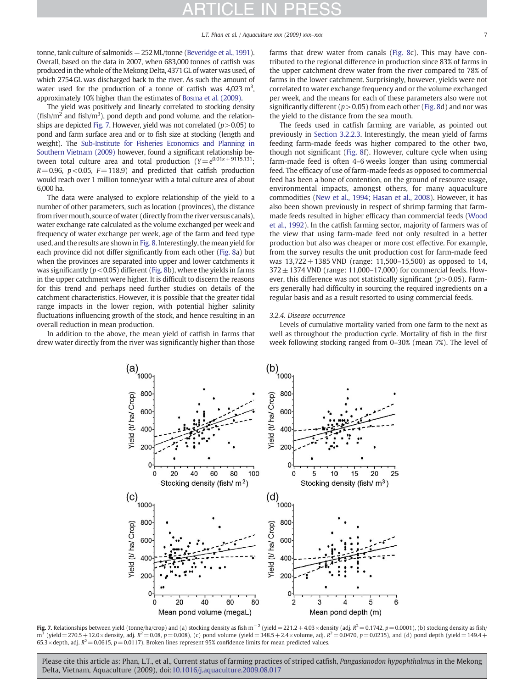tonne, tank culture of salmonids — 252ML/tonne ([Beveridge et al., 1991](#page-9-0)). Overall, based on the data in 2007, when 683,000 tonnes of catfish was produced in the whole of the Mekong Delta, 4371GL of water was used, of which 2754GL was discharged back to the river. As such the amount of water used for the production of a tonne of catfish was  $4,023 \text{ m}^3$ , approximately 10% higher than the estimates of [Bosma et al. \(2009\).](#page-9-0)

The yield was positively and linearly correlated to stocking density  $(fish/m<sup>2</sup>$  and fish/m<sup>3</sup>), pond depth and pond volume, and the relationships are depicted Fig. 7. However, yield was not correlated ( $p > 0.05$ ) to pond and farm surface area and or to fish size at stocking (length and weight). The [Sub-Institute for Fisheries Economics and Planning in](#page-9-0) [Southern Vietnam \(2009\)](#page-9-0) however, found a significant relationship between total culture area and total production  $(Y=e^{0.01x+9115.131}$ ;  $R=0.96$ ,  $p < 0.05$ ,  $F=118.9$ ) and predicted that catfish production would reach over 1 million tonne/year with a total culture area of about 6,000 ha.

The data were analysed to explore relationship of the yield to a number of other parameters, such as location (provinces), the distance from river mouth, source of water (directly from the river versus canals), water exchange rate calculated as the volume exchanged per week and frequency of water exchange per week, age of the farm and feed type used, and the results are shown in [Fig. 8](#page-7-0). Interestingly, the mean yield for each province did not differ significantly from each other ([Fig. 8a](#page-7-0)) but when the provinces are separated into upper and lower catchments it was significantly ( $p < 0.05$ ) different [\(Fig. 8](#page-7-0)b), where the yields in farms in the upper catchment were higher. It is difficult to discern the reasons for this trend and perhaps need further studies on details of the catchment characteristics. However, it is possible that the greater tidal range impacts in the lower region, with potential higher salinity fluctuations influencing growth of the stock, and hence resulting in an overall reduction in mean production.

In addition to the above, the mean yield of catfish in farms that drew water directly from the river was significantly higher than those farms that drew water from canals [\(Fig. 8](#page-7-0)c). This may have contributed to the regional difference in production since 83% of farms in the upper catchment drew water from the river compared to 78% of farms in the lower catchment. Surprisingly, however, yields were not correlated to water exchange frequency and or the volume exchanged per week, and the means for each of these parameters also were not significantly different ( $p > 0.05$ ) from each other [\(Fig. 8d](#page-7-0)) and nor was the yield to the distance from the sea mouth.

The feeds used in catfish farming are variable, as pointed out previously in [Section 3.2.2.3](#page-4-0). Interestingly, the mean yield of farms feeding farm-made feeds was higher compared to the other two, though not significant [\(Fig. 8](#page-7-0)f). However, culture cycle when using farm-made feed is often 4–6 weeks longer than using commercial feed. The efficacy of use of farm-made feeds as opposed to commercial feed has been a bone of contention, on the ground of resource usage, environmental impacts, amongst others, for many aquaculture commodities ([New et al., 1994; Hasan et al., 2008\)](#page-9-0). However, it has also been shown previously in respect of shrimp farming that farmmade feeds resulted in higher efficacy than commercial feeds ([Wood](#page-9-0) [et al., 1992](#page-9-0)). In the catfish farming sector, majority of farmers was of the view that using farm-made feed not only resulted in a better production but also was cheaper or more cost effective. For example, from the survey results the unit production cost for farm-made feed was  $13,722 \pm 1385$  VND (range: 11,500–15,500) as opposed to 14,  $372 \pm 1374$  VND (range: 11,000–17,000) for commercial feeds. However, this difference was not statistically significant ( $p > 0.05$ ). Farmers generally had difficulty in sourcing the required ingredients on a regular basis and as a result resorted to using commercial feeds.

### 3.2.4. Disease occurrence

Levels of cumulative mortality varied from one farm to the next as well as throughout the production cycle. Mortality of fish in the first week following stocking ranged from 0–30% (mean 7%). The level of



**Fig. 7.** Relationships between yield (tonne/ha/crop) and (a) stocking density as fish m<sup>-2</sup> (yield = 221.2 + 4.03 × density (adj.  $R^2$  = 0.1742, p = 0.0001), (b) stocking density as fish/  $m^3$  (yield = 270.5 + 12.0 × density, adj.  $R^2 = 0.08$ ,  $p = 0.008$ ), (c) pond volume (yield = 348.5 + 2.4 × volume, adj.  $R^2 = 0.0470$ ,  $p = 0.0235$ ), and (d) pond depth (yield = 149.4 + 65.3 × depth, adj.  $R^2$  = 0.0615, p = 0.0117). Broken lines represent 95% confidence limits for mean predicted values.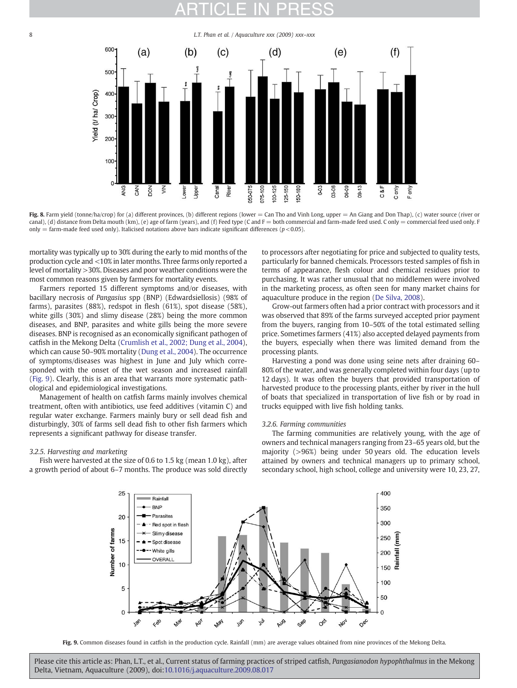# <span id="page-7-0"></span>8 **a L.T. Phan et al. / Aquaculture xxx (2009) xxx–xxx**



Fig. 8. Farm yield (tonne/ha/crop) for (a) different provinces, (b) different regions (lower = Can Tho and Vinh Long, upper = An Giang and Don Thap), (c) water source (river or canal), (d) distance from Delta mouth (km), (e) age of farm (years), and (f) Feed type (C and F = both commercial and farm-made feed used. C only = commercial feed used only. F only = farm-made feed used only). Italicised notations above bars indicate significant differences ( $p$  < 0.05).

mortality was typically up to 30% during the early to mid months of the production cycle and <10% in later months. Three farms only reported a level of mortality >30%. Diseases and poor weather conditions were the most common reasons given by farmers for mortality events.

Farmers reported 15 different symptoms and/or diseases, with bacillary necrosis of Pangasius spp (BNP) (Edwardsiellosis) (98% of farms), parasites (88%), redspot in flesh (61%), spot disease (58%), white gills (30%) and slimy disease (28%) being the more common diseases, and BNP, parasites and white gills being the more severe diseases. BNP is recognised as an economically significant pathogen of catfish in the Mekong Delta [\(Crumlish et al., 2002; Dung et al., 2004](#page-9-0)), which can cause 50–90% mortality ([Dung et al., 2004\)](#page-9-0). The occurrence of symptoms/diseases was highest in June and July which corresponded with the onset of the wet season and increased rainfall (Fig. 9). Clearly, this is an area that warrants more systematic pathological and epidemiological investigations.

Management of health on catfish farms mainly involves chemical treatment, often with antibiotics, use feed additives (vitamin C) and regular water exchange. Farmers mainly bury or sell dead fish and disturbingly, 30% of farms sell dead fish to other fish farmers which represents a significant pathway for disease transfer.

# 3.2.5. Harvesting and marketing

Fish were harvested at the size of 0.6 to 1.5 kg (mean 1.0 kg), after a growth period of about 6–7 months. The produce was sold directly to processors after negotiating for price and subjected to quality tests, particularly for banned chemicals. Processors tested samples of fish in terms of appearance, flesh colour and chemical residues prior to purchasing. It was rather unusual that no middlemen were involved in the marketing process, as often seen for many market chains for aquaculture produce in the region [\(De Silva, 2008](#page-9-0)).

Grow-out farmers often had a prior contract with processors and it was observed that 89% of the farms surveyed accepted prior payment from the buyers, ranging from 10–50% of the total estimated selling price. Sometimes farmers (41%) also accepted delayed payments from the buyers, especially when there was limited demand from the processing plants.

Harvesting a pond was done using seine nets after draining 60– 80% of the water, and was generally completed within four days (up to 12 days). It was often the buyers that provided transportation of harvested produce to the processing plants, either by river in the hull of boats that specialized in transportation of live fish or by road in trucks equipped with live fish holding tanks.

### 3.2.6. Farming communities

The farming communities are relatively young, with the age of owners and technical managers ranging from 23–65 years old, but the majority (>96%) being under 50 years old. The education levels attained by owners and technical managers up to primary school, secondary school, high school, college and university were 10, 23, 27,



Fig. 9. Common diseases found in catfish in the production cycle. Rainfall (mm) are average values obtained from nine provinces of the Mekong Delta.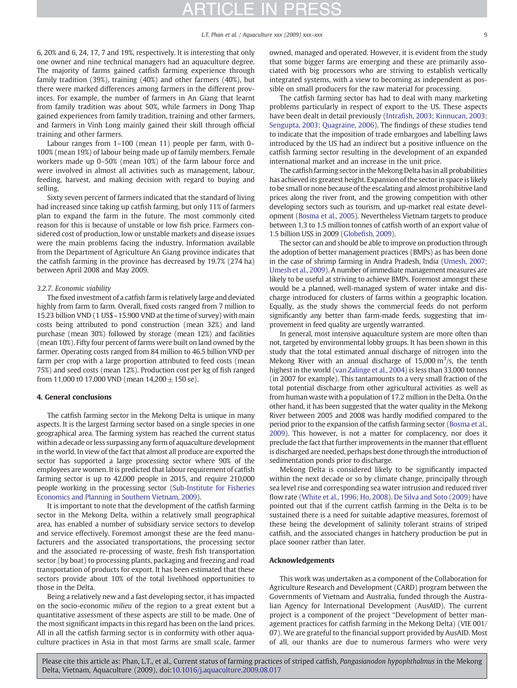L.T. Phan et al. / Aquaculture xxx (2009) xxx-xxx

6, 20% and 6, 24, 17, 7 and 19%, respectively. It is interesting that only one owner and nine technical managers had an aquaculture degree. The majority of farms gained catfish farming experience through family tradition (39%), training (40%) and other farmers (40%), but there were marked differences among farmers in the different provinces. For example, the number of farmers in An Giang that learnt from family tradition was about 50%, while farmers in Dong Thap gained experiences from family tradition, training and other farmers, and farmers in Vinh Long mainly gained their skill through official training and other farmers.

Labour ranges from 1–100 (mean 11) people per farm, with 0– 100% (mean 19%) of labour being made up of family members. Female workers made up 0–50% (mean 10%) of the farm labour force and were involved in almost all activities such as management, labour, feeding, harvest, and making decision with regard to buying and selling.

Sixty seven percent of farmers indicated that the standard of living had increased since taking up catfish farming, but only 11% of farmers plan to expand the farm in the future. The most commonly cited reason for this is because of unstable or low fish price. Farmers considered cost of production, low or unstable markets and disease issues were the main problems facing the industry. Information available from the Department of Agriculture An Giang province indicates that the catfish farming in the province has decreased by 19.7% (274 ha) between April 2008 and May 2009.

# 3.2.7. Economic viability

The fixed investment of a catfish farm is relatively large and deviated highly from farm to farm. Overall, fixed costs ranged from 7 million to 15.23 billion VND (1 US\$~15.900 VND at the time of survey) with main costs being attributed to pond construction (mean 32%) and land purchase (mean 30%) followed by storage (mean 12%) and facilities (mean 10%). Fifty four percent of farms were built on land owned by the farmer. Operating costs ranged from 84 million to 46.5 billion VND per farm per crop with a large proportion attributed to feed costs (mean 75%) and seed costs (mean 12%). Production cost per kg of fish ranged from 11,000 t0 17,000 VND (mean  $14,200 \pm 150$  se).

# 4. General conclusions

The catfish farming sector in the Mekong Delta is unique in many aspects. It is the largest farming sector based on a single species in one geographical area. The farming system has reached the current status within a decade or less surpassing any form of aquaculture development in the world. In view of the fact that almost all produce are exported the sector has supported a large processing sector where 90% of the employees are women. It is predicted that labour requirement of catfish farming sector is up to 42,000 people in 2015, and require 210,000 people working in the processing sector [\(Sub-Institute for Fisheries](#page-9-0) [Economics and Planning in Southern Vietnam, 2009\)](#page-9-0).

It is important to note that the development of the catfish farming sector in the Mekong Delta, within a relatively small geographical area, has enabled a number of subsidiary service sectors to develop and service effectively. Foremost amongst these are the feed manufacturers and the associated transportations, the processing sector and the associated re-processing of waste, fresh fish transportation sector (by boat) to processing plants, packaging and freezing and road transportation of products for export. It has been estimated that these sectors provide about 10% of the total livelihood opportunities to those in the Delta.

Being a relatively new and a fast developing sector, it has impacted on the socio-economic milieu of the region to a great extent but a quantitative assessment of these aspects are still to be made. One of the most significant impacts in this regard has been on the land prices. All in all the catfish farming sector is in conformity with other aquaculture practices in Asia in that most farms are small scale, farmer owned, managed and operated. However, it is evident from the study that some bigger farms are emerging and these are primarily associated with big processors who are striving to establish vertically integrated systems, with a view to becoming as independent as possible on small producers for the raw material for processing.

The catfish farming sector has had to deal with many marketing problems particularly in respect of export to the US. These aspects have been dealt in detail previously (Intrafi[sh, 2003; Kinnucan, 2003;](#page-9-0) [Sengupta, 2003; Quagraine, 2006](#page-9-0)). The findings of these studies tend to indicate that the imposition of trade embargoes and labelling laws introduced by the US had an indirect but a positive influence on the catfish farming sector resulting in the development of an expanded international market and an increase in the unit price.

The catfish farming sector in the Mekong Delta has in all probabilities has achieved its greatest height. Expansion of the sector in space is likely to be small or none because of the escalating and almost prohibitive land prices along the river front, and the growing competition with other developing sectors such as tourism, and up-market real estate development [\(Bosma et al., 2005\)](#page-9-0). Nevertheless Vietnam targets to produce between 1.3 to 1.5 million tonnes of catfish worth of an export value of 1.5 billion USS in 2009 (Globefi[sh, 2009](#page-9-0)).

The sector can and should be able to improve on production through the adoption of better management practices (BMPs) as has been done in the case of shrimp farming in Andra Pradesh, India ([Umesh, 2007;](#page-9-0) [Umesh et al., 2009\)](#page-9-0). A number of immediate management measures are likely to be useful at striving to achieve BMPs. Foremost amongst these would be a planned, well-managed system of water intake and discharge introduced for clusters of farms within a geographic location. Equally, as the study shows the commercial feeds do not perform significantly any better than farm-made feeds, suggesting that improvement in feed quality are urgently warranted.

In general, most intensive aquaculture system are more often than not, targeted by environmental lobby groups. It has been shown in this study that the total estimated annual discharge of nitrogen into the Mekong River with an annual discharge of  $15,000 \text{ m}^3/\text{s}$ , the tenth highest in the world [\(van Zalinge et al., 2004](#page-9-0)) is less than 33,000 tonnes (in 2007 for example). This tantamounts to a very small fraction of the total potential discharge from other agricultural activities as well as from human waste with a population of 17.2 million in the Delta. On the other hand, it has been suggested that the water quality in the Mekong River between 2005 and 2008 was hardly modified compared to the period prior to the expansion of the catfish farming sector [\(Bosma et al.,](#page-9-0) [2009](#page-9-0)). This however, is not a matter for complacency, nor does it preclude the fact that further improvements in the manner that effluent is discharged are needed, perhaps best done through the introduction of sedimentation ponds prior to discharge.

Mekong Delta is considered likely to be significantly impacted within the next decade or so by climate change, principally through sea level rise and corresponding sea water intrusion and reduced river flow rate ([White et al., 1996; Ho, 2008](#page-9-0)). [De Silva and Soto \(2009\)](#page-9-0) have pointed out that if the current catfish farming in the Delta is to be sustained there is a need for suitable adaptive measures, foremost of these being the development of salinity tolerant strains of striped catfish, and the associated changes in hatchery production be put in place sooner rather than later.

### Acknowledgements

This work was undertaken as a component of the Collaboration for Agriculture Research and Development (CARD) program between the Governments of Vietnam and Australia, funded through the Australian Agency for International Development (AusAID). The current project is a component of the project "Development of better management practices for catfish farming in the Mekong Delta) (VIE 001/ 07). We are grateful to the financial support provided by AusAID. Most of all, our thanks are due to numerous farmers who were very